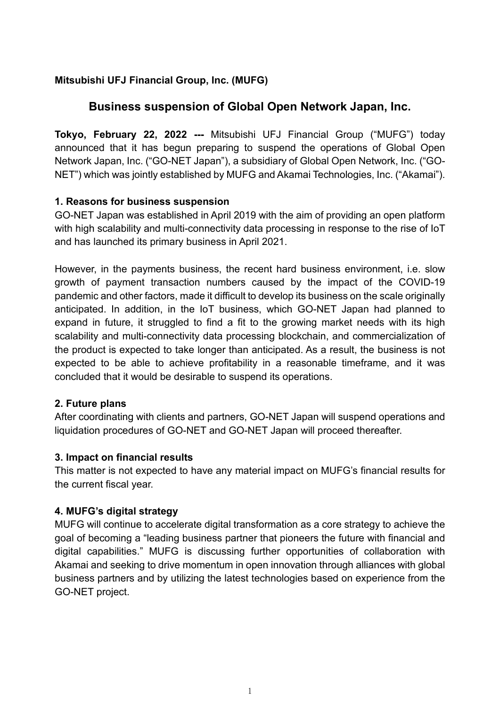## **Mitsubishi UFJ Financial Group, Inc. (MUFG)**

# **Business suspension of Global Open Network Japan, Inc.**

**Tokyo, February 22, 2022 ---** Mitsubishi UFJ Financial Group ("MUFG") today announced that it has begun preparing to suspend the operations of Global Open Network Japan, Inc. ("GO-NET Japan"), a subsidiary of Global Open Network, Inc. ("GO-NET") which was jointly established by MUFG and Akamai Technologies, Inc. ("Akamai").

## **1. Reasons for business suspension**

GO-NET Japan was established in April 2019 with the aim of providing an open platform with high scalability and multi-connectivity data processing in response to the rise of IoT and has launched its primary business in April 2021.

However, in the payments business, the recent hard business environment, i.e. slow growth of payment transaction numbers caused by the impact of the COVID-19 pandemic and other factors, made it difficult to develop its business on the scale originally anticipated. In addition, in the IoT business, which GO-NET Japan had planned to expand in future, it struggled to find a fit to the growing market needs with its high scalability and multi-connectivity data processing blockchain, and commercialization of the product is expected to take longer than anticipated. As a result, the business is not expected to be able to achieve profitability in a reasonable timeframe, and it was concluded that it would be desirable to suspend its operations.

## **2. Future plans**

After coordinating with clients and partners, GO-NET Japan will suspend operations and liquidation procedures of GO-NET and GO-NET Japan will proceed thereafter.

## **3. Impact on financial results**

This matter is not expected to have any material impact on MUFG's financial results for the current fiscal year.

## **4. MUFG's digital strategy**

MUFG will continue to accelerate digital transformation as a core strategy to achieve the goal of becoming a "leading business partner that pioneers the future with financial and digital capabilities." MUFG is discussing further opportunities of collaboration with Akamai and seeking to drive momentum in open innovation through alliances with global business partners and by utilizing the latest technologies based on experience from the GO-NET project.